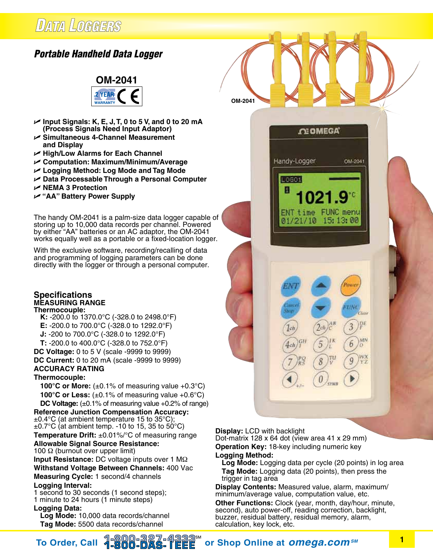# **DATA LOGGERS**

## *Portable Handheld Data Logger*



- U **Input Signals: K, E, J, T, 0 to 5 V, and 0 to 20 mA (Process Signals Need Input Adaptor)**
- U **Simultaneous 4-Channel Measurement and Display**
- U **High/Low Alarms for Each Channel**
- U **Computation: Maximum/Minimum/Average**
- U **Logging Method: Log Mode and Tag Mode**
- U **Data Processable Through a Personal Computer**
- U **NEMA 3 Protection**
- U **"AA" Battery Power Supply**

The handy OM-2041 is a palm-size data logger capable of storing up to 10,000 data records per channel. Powered by either "AA" batteries or an AC adaptor, the OM-2041 works equally well as a portable or a fixed-location logger.

With the exclusive software, recording/recalling of data and programming of logging parameters can be done directly with the logger or through a personal computer.

#### **Specifications Measuring Range Thermocouple:**

- **K:** -200.0 to 1370.0°C (-328.0 to 2498.0°F)
- **E:** -200.0 to 700.0°C (-328.0 to 1292.0°F)
- **J:** -200 to 700.0°C (-328.0 to 1292.0°F)
- **T:** -200.0 to 400.0°C (-328.0 to 752.0°F)
- **DC Voltage:** 0 to 5 V (scale -9999 to 9999)
- **DC Current:** 0 to 20 mA (scale -9999 to 9999) **Accuracy Rating**

#### **Thermocouple:**

**100°C or More:**  $(\pm 0.1\% \text{ of measuring value } +0.3\degree \text{C})$ **100°C or Less:**  $(\pm 0.1\%$  of measuring value  $+0.6$ °C) **DC Voltage:** (±0.1% of measuring value +0.2% of range)

**Reference Junction Compensation Accuracy:**  $\pm$ 0.4°C (at ambient temperature 15 to 35°C);  $\pm$ 0.7°C (at ambient temp. -10 to 15, 35 to 50°C) **Temperature Drift:** ±0.01%/°C of measuring range **Allowable Signal Source Resistance:** 100 Ω (burnout over upper limit)

**Input Resistance:** DC voltage inputs over 1 MΩ **Withstand Voltage Between Channels:** 400 Vac **Measuring Cycle:** 1 second/4 channels **Logging Interval:**

1 second to 30 seconds (1 second steps); 1 minute to 24 hours (1 minute steps)

#### **Logging Data:**

**Log Mode:** 10,000 data records/channel **Tag Mode:** 5500 data records/channel

#### **Display:** LCD with backlight

**OM-2041**

Dot-matrix 128 x 64 dot (view area 41 x 29 mm) **Operation Key: 18-key including numeric key Logging Method:**

 $1ch$ 

 $4ch$ 

**Log Mode:** Logging data per cycle (20 points) in log area  **Tag Mode:** Logging data (20 points), then press the trigger in tag area

**OI OMEGA** 

ENT time FUNC menu 01/21/10 15:13:00

5

8

0

OM-2041

Pos

τW

6

FIF 3

NO

Handy-Logger

L0601

**Display Contents:** Measured value, alarm, maximum/ minimum/average value, computation value, etc.

**Other Functions:** Clock (year, month, day/hour, minute, second), auto power-off, reading correction, backlight, buzzer, residual battery, residual memory, alarm, calculation, key lock, etc.